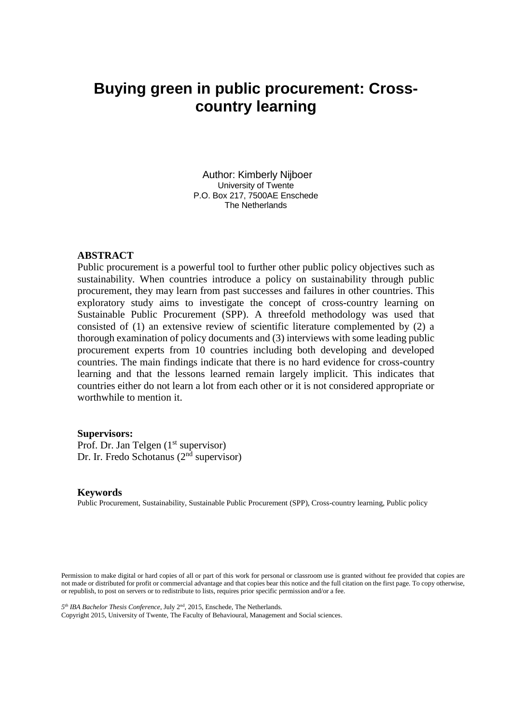# **Buying green in public procurement: Crosscountry learning**

Author: Kimberly Nijboer University of Twente P.O. Box 217, 7500AE Enschede The Netherlands

#### **ABSTRACT**

Public procurement is a powerful tool to further other public policy objectives such as sustainability. When countries introduce a policy on sustainability through public procurement, they may learn from past successes and failures in other countries. This exploratory study aims to investigate the concept of cross-country learning on Sustainable Public Procurement (SPP). A threefold methodology was used that consisted of (1) an extensive review of scientific literature complemented by (2) a thorough examination of policy documents and (3) interviews with some leading public procurement experts from 10 countries including both developing and developed countries. The main findings indicate that there is no hard evidence for cross-country learning and that the lessons learned remain largely implicit. This indicates that countries either do not learn a lot from each other or it is not considered appropriate or worthwhile to mention it.

#### **Supervisors:**

Prof. Dr. Jan Telgen  $(1<sup>st</sup>$  supervisor) Dr. Ir. Fredo Schotanus ( $2<sup>nd</sup>$  supervisor)

#### **Keywords**

Public Procurement, Sustainability, Sustainable Public Procurement (SPP), Cross-country learning, Public policy

Permission to make digital or hard copies of all or part of this work for personal or classroom use is granted without fee provided that copies are not made or distributed for profit or commercial advantage and that copies bear this notice and the full citation on the first page. To copy otherwise, or republish, to post on servers or to redistribute to lists, requires prior specific permission and/or a fee.

5<sup>th</sup> IBA Bachelor Thesis Conference, July 2<sup>nd</sup>, 2015, Enschede, The Netherlands.

Copyright 2015, University of Twente, The Faculty of Behavioural, Management and Social sciences.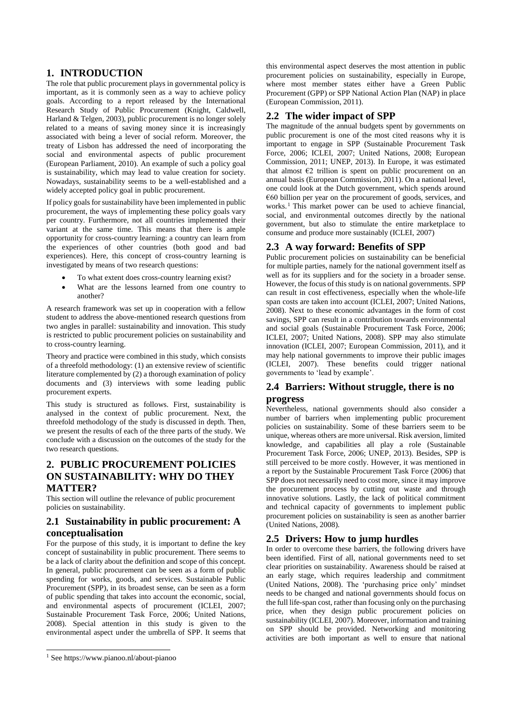#### **1. INTRODUCTION**

The role that public procurement plays in governmental policy is important, as it is commonly seen as a way to achieve policy goals. According to a report released by the International Research Study of Public Procurement (Knight, Caldwell, Harland & Telgen, 2003), public procurement is no longer solely related to a means of saving money since it is increasingly associated with being a lever of social reform. Moreover, the treaty of Lisbon has addressed the need of incorporating the social and environmental aspects of public procurement (European Parliament, 2010). An example of such a policy goal is sustainability, which may lead to value creation for society. Nowadays, sustainability seems to be a well-established and a widely accepted policy goal in public procurement.

If policy goals for sustainability have been implemented in public procurement, the ways of implementing these policy goals vary per country. Furthermore, not all countries implemented their variant at the same time. This means that there is ample opportunity for cross-country learning: a country can learn from the experiences of other countries (both good and bad experiences). Here, this concept of cross-country learning is investigated by means of two research questions:

- To what extent does cross-country learning exist?
- What are the lessons learned from one country to another?

A research framework was set up in cooperation with a fellow student to address the above-mentioned research questions from two angles in parallel: sustainability and innovation. This study is restricted to public procurement policies on sustainability and to cross-country learning.

Theory and practice were combined in this study, which consists of a threefold methodology: (1) an extensive review of scientific literature complemented by (2) a thorough examination of policy documents and (3) interviews with some leading public procurement experts.

This study is structured as follows. First, sustainability is analysed in the context of public procurement. Next, the threefold methodology of the study is discussed in depth. Then, we present the results of each of the three parts of the study. We conclude with a discussion on the outcomes of the study for the two research questions.

# **2. PUBLIC PROCUREMENT POLICIES ON SUSTAINABILITY: WHY DO THEY MATTER?**

This section will outline the relevance of public procurement policies on sustainability.

## **2.1 Sustainability in public procurement: A conceptualisation**

For the purpose of this study, it is important to define the key concept of sustainability in public procurement. There seems to be a lack of clarity about the definition and scope of this concept. In general, public procurement can be seen as a form of public spending for works, goods, and services. Sustainable Public Procurement (SPP), in its broadest sense, can be seen as a form of public spending that takes into account the economic, social, and environmental aspects of procurement (ICLEI, 2007; Sustainable Procurement Task Force, 2006; United Nations, 2008). Special attention in this study is given to the environmental aspect under the umbrella of SPP. It seems that

 $\overline{a}$ 

this environmental aspect deserves the most attention in public procurement policies on sustainability, especially in Europe, where most member states either have a Green Public Procurement (GPP) or SPP National Action Plan (NAP) in place (European Commission, 2011).

#### **2.2 The wider impact of SPP**

The magnitude of the annual budgets spent by governments on public procurement is one of the most cited reasons why it is important to engage in SPP (Sustainable Procurement Task Force, 2006; ICLEI, 2007; United Nations, 2008; European Commission, 2011; UNEP, 2013). In Europe, it was estimated that almost  $\epsilon$ 2 trillion is spent on public procurement on an annual basis (European Commission, 2011). On a national level, one could look at the Dutch government, which spends around €60 billion per year on the procurement of goods, services, and works. <sup>1</sup> This market power can be used to achieve financial, social, and environmental outcomes directly by the national government, but also to stimulate the entire marketplace to consume and produce more sustainably (ICLEI, 2007)

## **2.3 A way forward: Benefits of SPP**

Public procurement policies on sustainability can be beneficial for multiple parties, namely for the national government itself as well as for its suppliers and for the society in a broader sense. However, the focus of this study is on national governments. SPP can result in cost effectiveness, especially when the whole-life span costs are taken into account (ICLEI, 2007; United Nations, 2008). Next to these economic advantages in the form of cost savings, SPP can result in a contribution towards environmental and social goals (Sustainable Procurement Task Force, 2006; ICLEI, 2007; United Nations, 2008). SPP may also stimulate innovation (ICLEI, 2007; European Commission, 2011), and it may help national governments to improve their public images (ICLEI, 2007). These benefits could trigger national governments to 'lead by example'.

#### **2.4 Barriers: Without struggle, there is no progress**

Nevertheless, national governments should also consider a number of barriers when implementing public procurement policies on sustainability. Some of these barriers seem to be unique, whereas others are more universal. Risk aversion, limited knowledge, and capabilities all play a role (Sustainable Procurement Task Force, 2006; UNEP, 2013). Besides, SPP is still perceived to be more costly. However, it was mentioned in a report by the Sustainable Procurement Task Force (2006) that SPP does not necessarily need to cost more, since it may improve the procurement process by cutting out waste and through innovative solutions. Lastly, the lack of political commitment and technical capacity of governments to implement public procurement policies on sustainability is seen as another barrier (United Nations, 2008).

#### **2.5 Drivers: How to jump hurdles**

In order to overcome these barriers, the following drivers have been identified. First of all, national governments need to set clear priorities on sustainability. Awareness should be raised at an early stage, which requires leadership and commitment (United Nations, 2008). The 'purchasing price only' mindset needs to be changed and national governments should focus on the full life-span cost, rather than focusing only on the purchasing price, when they design public procurement policies on sustainability (ICLEI, 2007). Moreover, information and training on SPP should be provided. Networking and monitoring activities are both important as well to ensure that national

<sup>1</sup> Se[e https://www.pianoo.nl/about-pianoo](https://www.pianoo.nl/about-pianoo)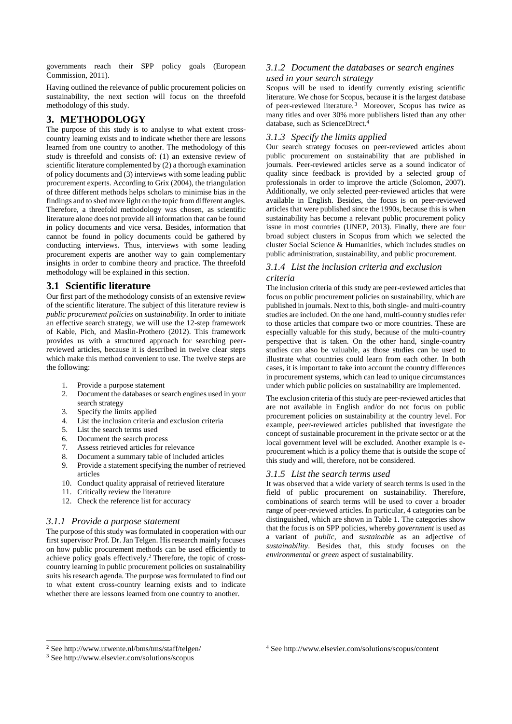governments reach their SPP policy goals (European Commission, 2011).

Having outlined the relevance of public procurement policies on sustainability, the next section will focus on the threefold methodology of this study.

#### **3. METHODOLOGY**

The purpose of this study is to analyse to what extent crosscountry learning exists and to indicate whether there are lessons learned from one country to another. The methodology of this study is threefold and consists of: (1) an extensive review of scientific literature complemented by (2) a thorough examination of policy documents and (3) interviews with some leading public procurement experts. According to Grix (2004), the triangulation of three different methods helps scholars to minimise bias in the findings and to shed more light on the topic from different angles. Therefore, a threefold methodology was chosen, as scientific literature alone does not provide all information that can be found in policy documents and vice versa. Besides, information that cannot be found in policy documents could be gathered by conducting interviews. Thus, interviews with some leading procurement experts are another way to gain complementary insights in order to combine theory and practice. The threefold methodology will be explained in this section.

#### **3.1 Scientific literature**

Our first part of the methodology consists of an extensive review of the scientific literature. The subject of this literature review is *public procurement policies* on *sustainability*. In order to initiate an effective search strategy, we will use the 12-step framework of Kable, Pich, and Maslin-Prothero (2012). This framework provides us with a structured approach for searching peerreviewed articles, because it is described in twelve clear steps which make this method convenient to use. The twelve steps are the following:

- 1. Provide a purpose statement
- 2. Document the databases or search engines used in your search strategy
- 3. Specify the limits applied
- 4. List the inclusion criteria and exclusion criteria
- 5. List the search terms used
- 6. Document the search process
- 7. Assess retrieved articles for relevance
- 8. Document a summary table of included articles
- 9. Provide a statement specifying the number of retrieved articles
- 10. Conduct quality appraisal of retrieved literature
- 11. Critically review the literature
- 12. Check the reference list for accuracy

#### *3.1.1 Provide a purpose statement*

The purpose of this study was formulated in cooperation with our first supervisor Prof. Dr. Jan Telgen. His research mainly focuses on how public procurement methods can be used efficiently to achieve policy goals effectively.<sup>2</sup> Therefore, the topic of crosscountry learning in public procurement policies on sustainability suits his research agenda. The purpose was formulated to find out to what extent cross-country learning exists and to indicate whether there are lessons learned from one country to another.

#### *3.1.2 Document the databases or search engines used in your search strategy*

Scopus will be used to identify currently existing scientific literature. We chose for Scopus, because it is the largest database of peer-reviewed literature.<sup>3</sup> Moreover, Scopus has twice as many titles and over 30% more publishers listed than any other database, such as ScienceDirect.<sup>4</sup>

#### *3.1.3 Specify the limits applied*

Our search strategy focuses on peer-reviewed articles about public procurement on sustainability that are published in journals. Peer-reviewed articles serve as a sound indicator of quality since feedback is provided by a selected group of professionals in order to improve the article (Solomon, 2007). Additionally, we only selected peer-reviewed articles that were available in English. Besides, the focus is on peer-reviewed articles that were published since the 1990s, because this is when sustainability has become a relevant public procurement policy issue in most countries (UNEP, 2013). Finally, there are four broad subject clusters in Scopus from which we selected the cluster Social Science & Humanities, which includes studies on public administration, sustainability, and public procurement.

#### *3.1.4 List the inclusion criteria and exclusion criteria*

The inclusion criteria of this study are peer-reviewed articles that focus on public procurement policies on sustainability, which are published in journals. Next to this, both single- and multi-country studies are included. On the one hand, multi-country studies refer to those articles that compare two or more countries. These are especially valuable for this study, because of the multi-country perspective that is taken. On the other hand, single-country studies can also be valuable, as those studies can be used to illustrate what countries could learn from each other. In both cases, it is important to take into account the country differences in procurement systems, which can lead to unique circumstances under which public policies on sustainability are implemented.

The exclusion criteria of this study are peer-reviewed articles that are not available in English and/or do not focus on public procurement policies on sustainability at the country level. For example, peer-reviewed articles published that investigate the concept of sustainable procurement in the private sector or at the local government level will be excluded. Another example is eprocurement which is a policy theme that is outside the scope of this study and will, therefore, not be considered.

#### *3.1.5 List the search terms used*

It was observed that a wide variety of search terms is used in the field of public procurement on sustainability. Therefore, combinations of search terms will be used to cover a broader range of peer-reviewed articles. In particular, 4 categories can be distinguished, which are shown in Table 1. The categories show that the focus is on SPP policies, whereby *government* is used as a variant of *public,* and *sustainable* as an adjective of *sustainability*. Besides that, this study focuses on the *environmental* or *green* aspect of sustainability.

1

<sup>2</sup> See http://www.utwente.nl/bms/tms/staff/telgen/

<sup>3</sup> See http://www.elsevier.com/solutions/scopus

<sup>4</sup> See<http://www.elsevier.com/solutions/scopus/content>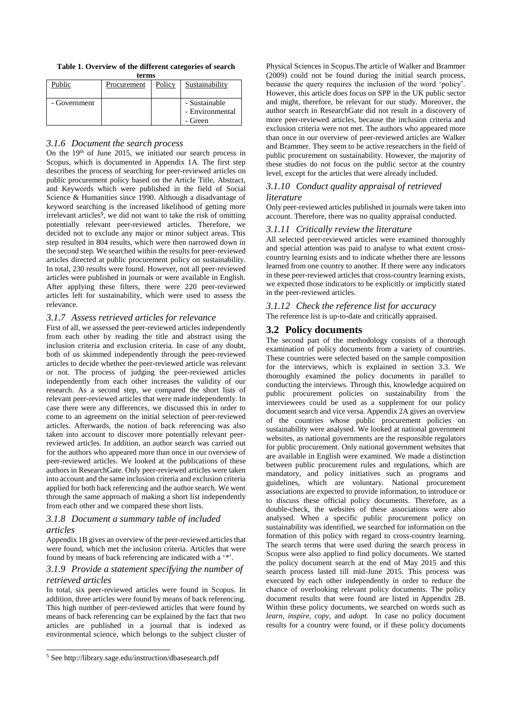|       |  |  |  | Table 1. Overview of the different categories of search |  |
|-------|--|--|--|---------------------------------------------------------|--|
| ferme |  |  |  |                                                         |  |

| <u>un no</u> |             |        |                                             |  |  |
|--------------|-------------|--------|---------------------------------------------|--|--|
| Public       | Procurement | Policy | Sustainability                              |  |  |
| - Government |             |        | - Sustainable<br>- Environmental<br>- Green |  |  |

#### *3.1.6 Document the search process*

On the 19<sup>th</sup> of June 2015, we initiated our search process in Scopus, which is documented in Appendix 1A. The first step describes the process of searching for peer-reviewed articles on public procurement policy based on the Article Title, Abstract, and Keywords which were published in the field of Social Science & Humanities since 1990. Although a disadvantage of keyword searching is the increased likelihood of getting more irrelevant articles**<sup>5</sup>** , we did not want to take the risk of omitting potentially relevant peer-reviewed articles. Therefore, we decided not to exclude any major or minor subject areas. This step resulted in 804 results, which were then narrowed down in the second step. We searched within the results for peer-reviewed articles directed at public procurement policy on sustainability. In total, 230 results were found. However, not all peer-reviewed articles were published in journals or were available in English. After applying these filters, there were 220 peer-reviewed articles left for sustainability, which were used to assess the relevance.

#### *3.1.7 Assess retrieved articles for relevance*

First of all, we assessed the peer-reviewed articles independently from each other by reading the title and abstract using the inclusion criteria and exclusion criteria. In case of any doubt, both of us skimmed independently through the peer-reviewed articles to decide whether the peer-reviewed article was relevant or not. The process of judging the peer-reviewed articles independently from each other increases the validity of our research. As a second step, we compared the short lists of relevant peer-reviewed articles that were made independently. In case there were any differences, we discussed this in order to come to an agreement on the initial selection of peer-reviewed articles. Afterwards, the notion of back referencing was also taken into account to discover more potentially relevant peerreviewed articles. In addition, an author search was carried out for the authors who appeared more than once in our overview of peer-reviewed articles. We looked at the publications of these authors in ResearchGate. Only peer-reviewed articles were taken into account and the same inclusion criteria and exclusion criteria applied for both back referencing and the author search. We went through the same approach of making a short list independently from each other and we compared these short lists.

#### *3.1.8 Document a summary table of included articles*

Appendix 1B gives an overview of the peer-reviewed articles that were found, which met the inclusion criteria. Articles that were found by means of back referencing are indicated with a '\*'.

#### *3.1.9 Provide a statement specifying the number of retrieved articles*

In total, six peer-reviewed articles were found in Scopus. In addition, three articles were found by means of back referencing. This high number of peer-reviewed articles that were found by means of back referencing can be explained by the fact that two articles are published in a journal that is indexed as environmental science, which belongs to the subject cluster of

 $\overline{a}$ 

Physical Sciences in Scopus.The article of Walker and Brammer (2009) could not be found during the initial search process, because the query requires the inclusion of the word 'policy'. However, this article does focus on SPP in the UK public sector and might, therefore, be relevant for our study. Moreover, the author search in ResearchGate did not result in a discovery of more peer-reviewed articles, because the inclusion criteria and exclusion criteria were not met. The authors who appeared more than once in our overview of peer-reviewed articles are Walker and Brammer. They seem to be active researchers in the field of public procurement on sustainability. However, the majority of these studies do not focus on the public sector at the country level, except for the articles that were already included.

#### *3.1.10 Conduct quality appraisal of retrieved literature*

Only peer-reviewed articles published in journals were taken into account. Therefore, there was no quality appraisal conducted.

#### *3.1.11 Critically review the literature*

All selected peer-reviewed articles were examined thoroughly and special attention was paid to analyse to what extent crosscountry learning exists and to indicate whether there are lessons learned from one country to another. If there were any indicators in these peer-reviewed articles that cross-country learning exists, we expected those indicators to be explicitly or implicitly stated in the peer-reviewed articles.

#### *3.1.12 Check the reference list for accuracy* The reference list is up-to-date and critically appraised.

#### **3.2 Policy documents**

The second part of the methodology consists of a thorough examination of policy documents from a variety of countries. These countries were selected based on the sample composition for the interviews, which is explained in section 3.3. We thoroughly examined the policy documents in parallel to conducting the interviews. Through this, knowledge acquired on public procurement policies on sustainability from the interviewees could be used as a supplement for our policy document search and vice versa. Appendix 2A gives an overview of the countries whose public procurement policies on sustainability were analysed. We looked at national government websites, as national governments are the responsible regulators for public procurement. Only national government websites that are available in English were examined. We made a distinction between public procurement rules and regulations, which are mandatory, and policy initiatives such as programs and guidelines, which are voluntary. National procurement associations are expected to provide information, to introduce or to discuss these official policy documents. Therefore, as a double-check, the websites of these associations were also analysed. When a specific public procurement policy on sustainability was identified, we searched for information on the formation of this policy with regard to cross-country learning. The search terms that were used during the search process in Scopus were also applied to find policy documents. We started the policy document search at the end of May 2015 and this search process lasted till mid-June 2015. This process was executed by each other independently in order to reduce the chance of overlooking relevant policy documents. The policy document results that were found are listed in Appendix 2B. Within these policy documents, we searched on words such as *learn, inspire, copy,* and *adopt.* In case no policy document results for a country were found, or if these policy documents

<sup>5</sup> Se[e http://library.sage.edu/instruction/dbasesearch.pdf](http://library.sage.edu/instruction/dbasesearch.pdf)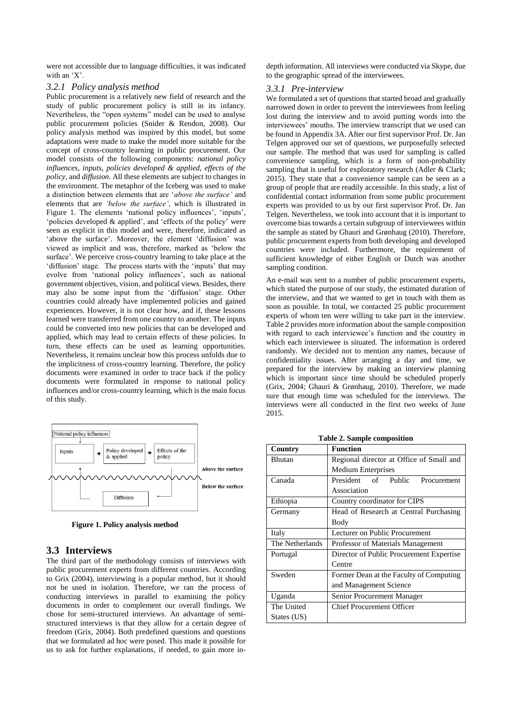were not accessible due to language difficulties, it was indicated with an 'X'.

#### *3.2.1 Policy analysis method*

Public procurement is a relatively new field of research and the study of public procurement policy is still in its infancy. Nevertheless, the "open systems" model can be used to analyse public procurement policies (Snider & Rendon, 2008). Our policy analysis method was inspired by this model, but some adaptations were made to make the model more suitable for the concept of cross-country learning in public procurement. Our model consists of the following components: *national policy influences, inputs, policies developed & applied, effects of the policy,* and *diffusion*. All these elements are subject to changes in the environment. The metaphor of the Iceberg was used to make a distinction between elements that are '*above the surface'* and elements that are *'below the surface'*, which is illustrated in Figure 1. The elements 'national policy influences', 'inputs', 'policies developed & applied', and 'effects of the policy' were seen as explicit in this model and were, therefore, indicated as 'above the surface'. Moreover, the element 'diffusion' was viewed as implicit and was, therefore, marked as 'below the surface'. We perceive cross-country learning to take place at the 'diffusion' stage. The process starts with the 'inputs' that may evolve from 'national policy influences', such as national government objectives, vision, and political views. Besides, there may also be some input from the 'diffusion' stage. Other countries could already have implemented policies and gained experiences. However, it is not clear how, and if, these lessons learned were transferred from one country to another. The inputs could be converted into new policies that can be developed and applied, which may lead to certain effects of these policies. In turn, these effects can be used as learning opportunities. Nevertheless, it remains unclear how this process unfolds due to the implicitness of cross-country learning. Therefore, the policy documents were examined in order to trace back if the policy documents were formulated in response to national policy influences and/or cross-country learning, which is the main focus of this study.



 **Figure 1. Policy analysis method**

#### **3.3 Interviews**

The third part of the methodology consists of interviews with public procurement experts from different countries. According to Grix (2004), interviewing is a popular method, but it should not be used in isolation. Therefore, we ran the process of conducting interviews in parallel to examining the policy documents in order to complement our overall findings. We chose for semi-structured interviews. An advantage of semistructured interviews is that they allow for a certain degree of freedom (Grix, 2004). Both predefined questions and questions that we formulated ad hoc were posed. This made it possible for us to ask for further explanations, if needed, to gain more indepth information. All interviews were conducted via Skype, due to the geographic spread of the interviewees.

#### *3.3.1 Pre-interview*

We formulated a set of questions that started broad and gradually narrowed down in order to prevent the interviewees from feeling lost during the interview and to avoid putting words into the interviewees' mouths. The interview transcript that we used can be found in Appendix 3A. After our first supervisor Prof. Dr. Jan Telgen approved our set of questions, we purposefully selected our sample. The method that was used for sampling is called convenience sampling, which is a form of non-probability sampling that is useful for exploratory research (Adler & Clark; 2015). They state that a convenience sample can be seen as a group of people that are readily accessible. In this study, a list of confidential contact information from some public procurement experts was provided to us by our first supervisor Prof. Dr. Jan Telgen. Nevertheless, we took into account that it is important to overcome bias towards a certain subgroup of interviewees within the sample as stated by Ghauri and Grønhaug (2010). Therefore, public procurement experts from both developing and developed countries were included. Furthermore, the requirement of sufficient knowledge of either English or Dutch was another sampling condition.

An e-mail was sent to a number of public procurement experts, which stated the purpose of our study, the estimated duration of the interview, and that we wanted to get in touch with them as soon as possible. In total, we contacted 25 public procurement experts of whom ten were willing to take part in the interview. Table 2 provides more information about the sample composition with regard to each interviewee's function and the country in which each interviewee is situated. The information is ordered randomly. We decided not to mention any names, because of confidentiality issues. After arranging a day and time, we prepared for the interview by making an interview planning which is important since time should be scheduled properly (Grix, 2004; Ghauri & Grønhaug, 2010). Therefore, we made sure that enough time was scheduled for the interviews. The interviews were all conducted in the first two weeks of June 2015.

**Table 2. Sample composition**

| Country         | <b>Function</b>                          |  |  |  |
|-----------------|------------------------------------------|--|--|--|
| Bhutan          | Regional director at Office of Small and |  |  |  |
|                 | <b>Medium Enterprises</b>                |  |  |  |
| Canada          | President of<br>Public<br>Procurement    |  |  |  |
|                 | Association                              |  |  |  |
| Ethiopia        | Country coordinator for CIPS             |  |  |  |
| Germany         | Head of Research at Central Purchasing   |  |  |  |
|                 | Body                                     |  |  |  |
| Italy           | Lecturer on Public Procurement           |  |  |  |
| The Netherlands | Professor of Materials Management        |  |  |  |
| Portugal        | Director of Public Procurement Expertise |  |  |  |
|                 | Centre                                   |  |  |  |
| Sweden          | Former Dean at the Faculty of Computing  |  |  |  |
|                 | and Management Science                   |  |  |  |
| Uganda          | Senior Procurement Manager               |  |  |  |
| The United      | Chief Procurement Officer                |  |  |  |
| States (US)     |                                          |  |  |  |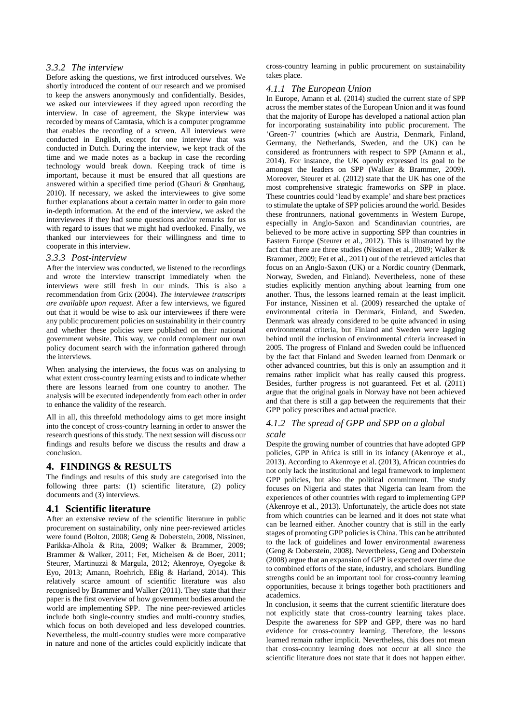#### *3.3.2 The interview*

Before asking the questions, we first introduced ourselves. We shortly introduced the content of our research and we promised to keep the answers anonymously and confidentially. Besides, we asked our interviewees if they agreed upon recording the interview. In case of agreement, the Skype interview was recorded by means of Camtasia, which is a computer programme that enables the recording of a screen. All interviews were conducted in English, except for one interview that was conducted in Dutch. During the interview, we kept track of the time and we made notes as a backup in case the recording technology would break down. Keeping track of time is important, because it must be ensured that all questions are answered within a specified time period (Ghauri & Grønhaug, 2010). If necessary, we asked the interviewees to give some further explanations about a certain matter in order to gain more in-depth information. At the end of the interview, we asked the interviewees if they had some questions and/or remarks for us with regard to issues that we might had overlooked. Finally, we thanked our interviewees for their willingness and time to cooperate in this interview.

#### *3.3.3 Post-interview*

After the interview was conducted, we listened to the recordings and wrote the interview transcript immediately when the interviews were still fresh in our minds. This is also a recommendation from Grix (2004). *The interviewee transcripts are available upon request.* After a few interviews, we figured out that it would be wise to ask our interviewees if there were any public procurement policies on sustainability in their country and whether these policies were published on their national government website. This way, we could complement our own policy document search with the information gathered through the interviews.

When analysing the interviews, the focus was on analysing to what extent cross-country learning exists and to indicate whether there are lessons learned from one country to another. The analysis will be executed independently from each other in order to enhance the validity of the research.

All in all, this threefold methodology aims to get more insight into the concept of cross-country learning in order to answer the research questions of this study. The next session will discuss our findings and results before we discuss the results and draw a conclusion.

#### **4. FINDINGS & RESULTS**

The findings and results of this study are categorised into the following three parts: (1) scientific literature, (2) policy documents and (3) interviews.

#### **4.1 Scientific literature**

After an extensive review of the scientific literature in public procurement on sustainability, only nine peer-reviewed articles were found (Bolton, 2008; Geng & Doberstein, 2008, Nissinen, Parikka-Alhola & Rita, 2009; Walker & Brammer, 2009; Brammer & Walker, 2011; Fet, Michelsen & de Boer, 2011; Steurer, Martinuzzi & Margula, 2012; Akenroye, Oyegoke & Eyo, 2013; Amann, Roehrich, Eßig & Harland, 2014). This relatively scarce amount of scientific literature was also recognised by Brammer and Walker (2011). They state that their paper is the first overview of how government bodies around the world are implementing SPP. The nine peer-reviewed articles include both single-country studies and multi-country studies, which focus on both developed and less developed countries. Nevertheless, the multi-country studies were more comparative in nature and none of the articles could explicitly indicate that

cross-country learning in public procurement on sustainability takes place.

#### *4.1.1 The European Union*

In Europe, Amann et al. (2014) studied the current state of SPP across the member states of the European Union and it was found that the majority of Europe has developed a national action plan for incorporating sustainability into public procurement. The 'Green-7' countries (which are Austria, Denmark, Finland, Germany, the Netherlands, Sweden, and the UK) can be considered as frontrunners with respect to SPP (Amann et al., 2014). For instance, the UK openly expressed its goal to be amongst the leaders on SPP (Walker & Brammer, 2009). Moreover, Steurer et al. (2012) state that the UK has one of the most comprehensive strategic frameworks on SPP in place. These countries could 'lead by example' and share best practices to stimulate the uptake of SPP policies around the world. Besides these frontrunners, national governments in Western Europe, especially in Anglo-Saxon and Scandinavian countries, are believed to be more active in supporting SPP than countries in Eastern Europe (Steurer et al., 2012). This is illustrated by the fact that there are three studies (Nissinen et al., 2009; Walker & Brammer, 2009; Fet et al., 2011) out of the retrieved articles that focus on an Anglo-Saxon (UK) or a Nordic country (Denmark, Norway, Sweden, and Finland). Nevertheless, none of these studies explicitly mention anything about learning from one another. Thus, the lessons learned remain at the least implicit. For instance, Nissinen et al. (2009) researched the uptake of environmental criteria in Denmark, Finland, and Sweden. Denmark was already considered to be quite advanced in using environmental criteria, but Finland and Sweden were lagging behind until the inclusion of environmental criteria increased in 2005. The progress of Finland and Sweden could be influenced by the fact that Finland and Sweden learned from Denmark or other advanced countries, but this is only an assumption and it remains rather implicit what has really caused this progress. Besides, further progress is not guaranteed. Fet et al. (2011) argue that the original goals in Norway have not been achieved and that there is still a gap between the requirements that their GPP policy prescribes and actual practice.

#### *4.1.2 The spread of GPP and SPP on a global scale*

Despite the growing number of countries that have adopted GPP policies, GPP in Africa is still in its infancy (Akenroye et al., 2013). According to Akenroye et al. (2013), African countries do not only lack the institutional and legal framework to implement GPP policies, but also the political commitment. The study focuses on Nigeria and states that Nigeria can learn from the experiences of other countries with regard to implementing GPP (Akenroye et al., 2013). Unfortunately, the article does not state from which countries can be learned and it does not state what can be learned either. Another country that is still in the early stages of promoting GPP policies is China. This can be attributed to the lack of guidelines and lower environmental awareness (Geng & Doberstein, 2008). Nevertheless, Geng and Doberstein (2008) argue that an expansion of GPP is expected over time due to combined efforts of the state, industry, and scholars. Bundling strengths could be an important tool for cross-country learning opportunities, because it brings together both practitioners and academics.

In conclusion, it seems that the current scientific literature does not explicitly state that cross-country learning takes place. Despite the awareness for SPP and GPP, there was no hard evidence for cross-country learning. Therefore, the lessons learned remain rather implicit. Nevertheless, this does not mean that cross-country learning does not occur at all since the scientific literature does not state that it does not happen either.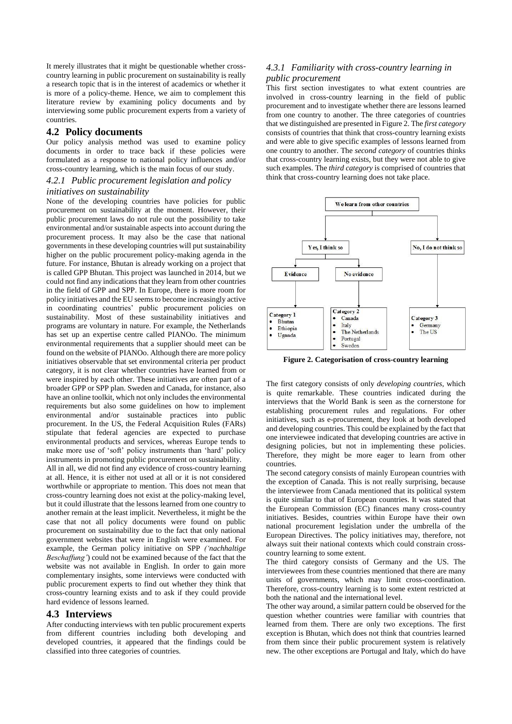It merely illustrates that it might be questionable whether crosscountry learning in public procurement on sustainability is really a research topic that is in the interest of academics or whether it is more of a policy-theme. Hence, we aim to complement this literature review by examining policy documents and by interviewing some public procurement experts from a variety of countries.

#### **4.2 Policy documents**

Our policy analysis method was used to examine policy documents in order to trace back if these policies were formulated as a response to national policy influences and/or cross-country learning, which is the main focus of our study.

# *4.2.1 Public procurement legislation and policy*

#### *initiatives on sustainability*

None of the developing countries have policies for public procurement on sustainability at the moment. However, their public procurement laws do not rule out the possibility to take environmental and/or sustainable aspects into account during the procurement process. It may also be the case that national governments in these developing countries will put sustainability higher on the public procurement policy-making agenda in the future. For instance, Bhutan is already working on a project that is called GPP Bhutan. This project was launched in 2014, but we could not find any indications that they learn from other countries in the field of GPP and SPP. In Europe, there is more room for policy initiatives and the EU seems to become increasingly active in coordinating countries' public procurement policies on sustainability. Most of these sustainability initiatives and programs are voluntary in nature. For example, the Netherlands has set up an expertise centre called PIANOo. The minimum environmental requirements that a supplier should meet can be found on the website of PIANOo. Although there are more policy initiatives observable that set environmental criteria per product category, it is not clear whether countries have learned from or were inspired by each other. These initiatives are often part of a broader GPP or SPP plan. Sweden and Canada, for instance, also have an online toolkit, which not only includes the environmental requirements but also some guidelines on how to implement environmental and/or sustainable practices into public procurement. In the US, the Federal Acquisition Rules (FARs) stipulate that federal agencies are expected to purchase environmental products and services, whereas Europe tends to make more use of 'soft' policy instruments than 'hard' policy instruments in promoting public procurement on sustainability. All in all, we did not find any evidence of cross-country learning at all. Hence, it is either not used at all or it is not considered worthwhile or appropriate to mention. This does not mean that cross-country learning does not exist at the policy-making level, but it could illustrate that the lessons learned from one country to another remain at the least implicit. Nevertheless, it might be the case that not all policy documents were found on public procurement on sustainability due to the fact that only national government websites that were in English were examined. For

example, the German policy initiative on SPP *('nachhaltige Beschaffung'*) could not be examined because of the fact that the website was not available in English. In order to gain more complementary insights, some interviews were conducted with public procurement experts to find out whether they think that cross-country learning exists and to ask if they could provide hard evidence of lessons learned.

#### **4.3 Interviews**

After conducting interviews with ten public procurement experts from different countries including both developing and developed countries, it appeared that the findings could be classified into three categories of countries.

#### *4.3.1 Familiarity with cross-country learning in public procurement*

This first section investigates to what extent countries are involved in cross-country learning in the field of public procurement and to investigate whether there are lessons learned from one country to another. The three categories of countries that we distinguished are presented in Figure 2. The *first category* consists of countries that think that cross-country learning exists and were able to give specific examples of lessons learned from one country to another. The *second category* of countries thinks that cross-country learning exists, but they were not able to give such examples. The *third category* is comprised of countries that think that cross-country learning does not take place.



**Figure 2. Categorisation of cross-country learning**

The first category consists of only *developing countries,* which is quite remarkable. These countries indicated during the interviews that the World Bank is seen as the cornerstone for establishing procurement rules and regulations. For other initiatives, such as e-procurement, they look at both developed and developing countries. This could be explained by the fact that one interviewee indicated that developing countries are active in designing policies, but not in implementing these policies. Therefore, they might be more eager to learn from other countries.

The second category consists of mainly European countries with the exception of Canada. This is not really surprising, because the interviewee from Canada mentioned that its political system is quite similar to that of European countries. It was stated that the European Commission (EC) finances many cross-country initiatives. Besides, countries within Europe have their own national procurement legislation under the umbrella of the European Directives. The policy initiatives may, therefore, not always suit their national contexts which could constrain crosscountry learning to some extent.

The third category consists of Germany and the US. The interviewees from these countries mentioned that there are many units of governments, which may limit cross-coordination. Therefore, cross-country learning is to some extent restricted at both the national and the international level.

The other way around, a similar pattern could be observed for the question whether countries were familiar with countries that learned from them. There are only two exceptions. The first exception is Bhutan, which does not think that countries learned from them since their public procurement system is relatively new. The other exceptions are Portugal and Italy, which do have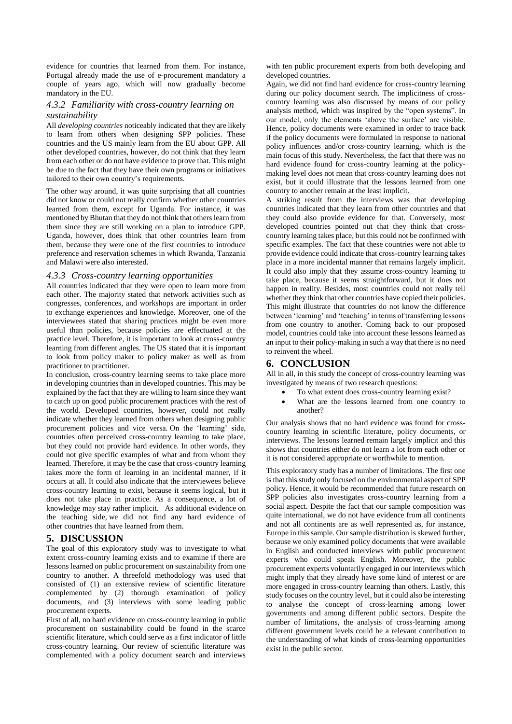evidence for countries that learned from them. For instance, Portugal already made the use of e-procurement mandatory a couple of years ago, which will now gradually become mandatory in the EU.

#### *4.3.2 Familiarity with cross-country learning on sustainability*

All *developing countries* noticeably indicated that they are likely to learn from others when designing SPP policies. These countries and the US mainly learn from the EU about GPP. All other developed countries, however, do not think that they learn from each other or do not have evidence to prove that. This might be due to the fact that they have their own programs or initiatives tailored to their own country's requirements.

The other way around, it was quite surprising that all countries did not know or could not really confirm whether other countries learned from them, except for Uganda. For instance, it was mentioned by Bhutan that they do not think that others learn from them since they are still working on a plan to introduce GPP. Uganda, however, does think that other countries learn from them, because they were one of the first countries to introduce preference and reservation schemes in which Rwanda, Tanzania and Malawi were also interested.

#### *4.3.3 Cross-country learning opportunities*

All countries indicated that they were open to learn more from each other. The majority stated that network activities such as congresses, conferences, and workshops are important in order to exchange experiences and knowledge. Moreover, one of the interviewees stated that sharing practices might be even more useful than policies, because policies are effectuated at the practice level. Therefore, it is important to look at cross-country learning from different angles. The US stated that it is important to look from policy maker to policy maker as well as from practitioner to practitioner.

In conclusion, cross-country learning seems to take place more in developing countries than in developed countries. This may be explained by the fact that they are willing to learn since they want to catch up on good public procurement practices with the rest of the world. Developed countries, however, could not really indicate whether they learned from others when designing public procurement policies and vice versa. On the 'learning' side, countries often perceived cross-country learning to take place, but they could not provide hard evidence. In other words, they could not give specific examples of what and from whom they learned. Therefore, it may be the case that cross-country learning takes more the form of learning in an incidental manner, if it occurs at all. It could also indicate that the interviewees believe cross-country learning to exist, because it seems logical, but it does not take place in practice. As a consequence, a lot of knowledge may stay rather implicit. As additional evidence on the teaching side, we did not find any hard evidence of other countries that have learned from them.

#### **5. DISCUSSION**

The goal of this exploratory study was to investigate to what extent cross-country learning exists and to examine if there are lessons learned on public procurement on sustainability from one country to another. A threefold methodology was used that consisted of (1) an extensive review of scientific literature complemented by (2) thorough examination of policy documents, and (3) interviews with some leading public procurement experts.

First of all, no hard evidence on cross-country learning in public procurement on sustainability could be found in the scarce scientific literature, which could serve as a first indicator of little cross-country learning. Our review of scientific literature was complemented with a policy document search and interviews

with ten public procurement experts from both developing and developed countries.

Again, we did not find hard evidence for cross-country learning during our policy document search. The implicitness of crosscountry learning was also discussed by means of our policy analysis method, which was inspired by the "open systems". In our model, only the elements 'above the surface' are visible. Hence, policy documents were examined in order to trace back if the policy documents were formulated in response to national policy influences and/or cross-country learning, which is the main focus of this study. Nevertheless, the fact that there was no hard evidence found for cross-country learning at the policymaking level does not mean that cross-country learning does not exist, but it could illustrate that the lessons learned from one country to another remain at the least implicit.

A striking result from the interviews was that developing countries indicated that they learn from other countries and that they could also provide evidence for that. Conversely, most developed countries pointed out that they think that crosscountry learning takes place, but this could not be confirmed with specific examples. The fact that these countries were not able to provide evidence could indicate that cross-country learning takes place in a more incidental manner that remains largely implicit. It could also imply that they assume cross-country learning to take place, because it seems straightforward, but it does not happen in reality. Besides, most countries could not really tell whether they think that other countries have copied their policies. This might illustrate that countries do not know the difference between 'learning' and 'teaching' in terms of transferring lessons from one country to another. Coming back to our proposed model, countries could take into account these lessons learned as an input to their policy-making in such a way that there is no need to reinvent the wheel.

#### **6. CONCLUSION**

All in all, in this study the concept of cross-country learning was investigated by means of two research questions:

- To what extent does cross-country learning exist?
- What are the lessons learned from one country to another?

Our analysis shows that no hard evidence was found for crosscountry learning in scientific literature, policy documents, or interviews. The lessons learned remain largely implicit and this shows that countries either do not learn a lot from each other or it is not considered appropriate or worthwhile to mention.

This exploratory study has a number of limitations. The first one is that this study only focused on the environmental aspect of SPP policy. Hence, it would be recommended that future research on SPP policies also investigates cross-country learning from a social aspect. Despite the fact that our sample composition was quite international, we do not have evidence from all continents and not all continents are as well represented as, for instance, Europe in this sample. Our sample distribution is skewed further, because we only examined policy documents that were available in English and conducted interviews with public procurement experts who could speak English. Moreover, the public procurement experts voluntarily engaged in our interviews which might imply that they already have some kind of interest or are more engaged in cross-country learning than others. Lastly, this study focuses on the country level, but it could also be interesting to analyse the concept of cross-learning among lower governments and among different public sectors. Despite the number of limitations, the analysis of cross-learning among different government levels could be a relevant contribution to the understanding of what kinds of cross-learning opportunities exist in the public sector.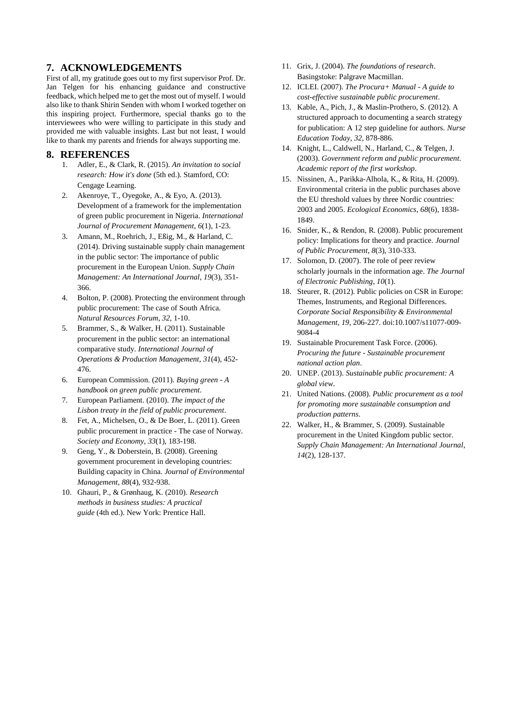## **7. ACKNOWLEDGEMENTS**

First of all, my gratitude goes out to my first supervisor Prof. Dr. Jan Telgen for his enhancing guidance and constructive feedback, which helped me to get the most out of myself. I would also like to thank Shirin Senden with whom I worked together on this inspiring project. Furthermore, special thanks go to the interviewees who were willing to participate in this study and provided me with valuable insights. Last but not least, I would like to thank my parents and friends for always supporting me.

#### **8. REFERENCES**

- 1. Adler, E., & Clark, R. (2015). *An invitation to social research: How it's done* (5th ed.). Stamford, CO: Cengage Learning.
- 2. Akenroye, T., Oyegoke, A., & Eyo, A. (2013). Development of a framework for the implementation of green public procurement in Nigeria. *International Journal of Procurement Management*, *6*(1), 1-23.
- 3. Amann, M., Roehrich, J., Eßig, M., & Harland, C. (2014). Driving sustainable supply chain management in the public sector: The importance of public procurement in the European Union. *Supply Chain Management: An International Journal*, *19*(3), 351- 366.
- 4. Bolton, P. (2008). Protecting the environment through public procurement: The case of South Africa. *Natural Resources Forum*, *32*, 1-10.
- 5. Brammer, S., & Walker, H. (2011). Sustainable procurement in the public sector: an international comparative study. *International Journal of Operations & Production Management*, *31*(4), 452- 476.
- 6. European Commission. (2011). *Buying green - A handbook on green public procurement*.
- 7. European Parliament. (2010). *The impact of the Lisbon treaty in the field of public procurement*.
- 8. Fet, A., Michelsen, O., & De Boer, L. (2011). Green public procurement in practice - The case of Norway. *Society and Economy*, *33*(1), 183-198.
- 9. Geng, Y., & Doberstein, B. (2008). Greening government procurement in developing countries: Building capacity in China. *Journal of Environmental Management*, *88*(4), 932-938.
- 10. Ghauri, P., & Grønhaug, K. (2010). *Research methods in business studies: A practical guide* (4th ed.). New York: Prentice Hall.
- 11. Grix, J. (2004). *The foundations of research*. Basingstoke: Palgrave Macmillan.
- 12. ICLEI. (2007). *The Procura+ Manual - A guide to cost-effective sustainable public procurement*.
- 13. Kable, A., Pich, J., & Maslin-Prothero, S. (2012). A structured approach to documenting a search strategy for publication: A 12 step guideline for authors. *Nurse Education Today*, *32*, 878-886.
- 14. Knight, L., Caldwell, N., Harland, C., & Telgen, J. (2003). *Government reform and public procurement. Academic report of the first workshop*.
- 15. Nissinen, A., Parikka-Alhola, K., & Rita, H. (2009). Environmental criteria in the public purchases above the EU threshold values by three Nordic countries: 2003 and 2005. *Ecological Economics*, *68*(6), 1838- 1849.
- 16. Snider, K., & Rendon, R. (2008). Public procurement policy: Implications for theory and practice. *Journal of Public Procurement*, *8*(3), 310-333.
- 17. Solomon, D. (2007). The role of peer review scholarly journals in the information age. *The Journal of Electronic Publishing*, *10*(1).
- 18. Steurer, R. (2012). Public policies on CSR in Europe: Themes, Instruments, and Regional Differences. *Corporate Social Responsibility & Environmental Management*, *19*, 206-227. doi:10.1007/s11077-009- 9084-4
- 19. Sustainable Procurement Task Force. (2006). *Procuring the future - Sustainable procurement national action plan*.
- 20. UNEP. (2013). *Sustainable public procurement: A global view*.
- 21. United Nations. (2008). *Public procurement as a tool for promoting more sustainable consumption and production patterns*.
- 22. Walker, H., & Brammer, S. (2009). Sustainable procurement in the United Kingdom public sector. *Supply Chain Management: An International Journal*, *14*(2), 128-137.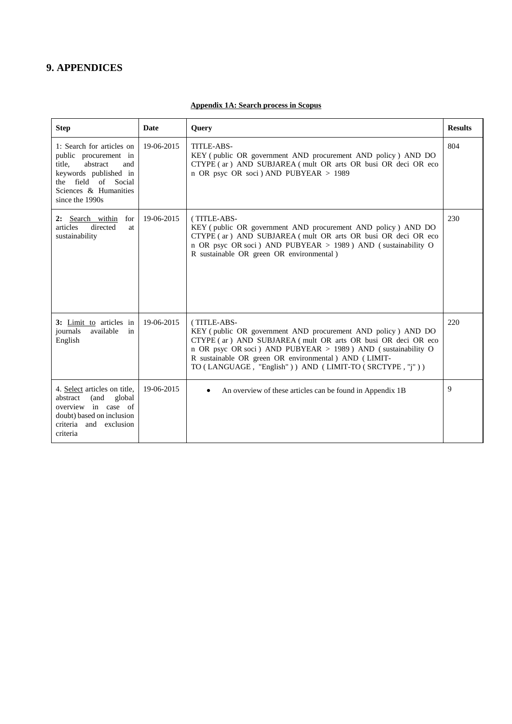# **9. APPENDICES**

#### **Appendix 1A: Search process in Scopus**

| <b>Step</b>                                                                                                                                                                 | <b>Date</b> | <b>Query</b>                                                                                                                                                                                                                                                                                                                   | <b>Results</b> |
|-----------------------------------------------------------------------------------------------------------------------------------------------------------------------------|-------------|--------------------------------------------------------------------------------------------------------------------------------------------------------------------------------------------------------------------------------------------------------------------------------------------------------------------------------|----------------|
| 1: Search for articles on<br>public procurement in<br>title,<br>abstract<br>and<br>keywords published in<br>the field of Social<br>Sciences & Humanities<br>since the 1990s | 19-06-2015  | TITLE-ABS-<br>KEY (public OR government AND procurement AND policy) AND DO<br>CTYPE (ar) AND SUBJAREA (mult OR arts OR busi OR deci OR eco<br>n OR psyc OR soci) AND PUBYEAR > 1989                                                                                                                                            | 804            |
| 2: Search within for<br>directed<br>articles<br>at<br>sustainability                                                                                                        | 19-06-2015  | (TITLE-ABS-<br>KEY (public OR government AND procurement AND policy) AND DO<br>CTYPE (ar) AND SUBJAREA (mult OR arts OR busi OR deci OR eco<br>n OR psyc OR soci) AND PUBYEAR > 1989) AND (sustainability O<br>R sustainable OR green OR environmental)                                                                        | 230            |
| 3: Limit to articles in<br>available<br>journals<br>in<br>English                                                                                                           | 19-06-2015  | (TITLE-ABS-<br>KEY (public OR government AND procurement AND policy) AND DO<br>CTYPE (ar) AND SUBJAREA (mult OR arts OR busi OR deci OR eco<br>n OR psyc OR soci) AND PUBYEAR > 1989) AND (sustainability O<br>R sustainable OR green OR environmental ) AND (LIMIT-<br>TO (LANGUAGE, "English") AND (LIMIT-TO (SRCTYPE, "j")) | 220            |
| 4. Select articles on title,<br>abstract<br>(and<br>global<br>overview in case of<br>doubt) based on inclusion<br>criteria and exclusion<br>criteria                        | 19-06-2015  | An overview of these articles can be found in Appendix 1B<br>$\bullet$                                                                                                                                                                                                                                                         | 9              |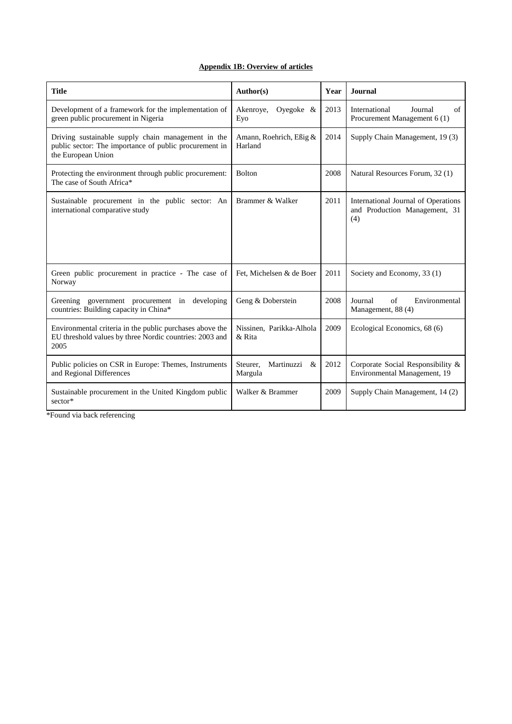# **Appendix 1B: Overview of articles**

| <b>Title</b>                                                                                                                       | Author(s)                              | Year | <b>Journal</b>                                                              |
|------------------------------------------------------------------------------------------------------------------------------------|----------------------------------------|------|-----------------------------------------------------------------------------|
| Development of a framework for the implementation of<br>green public procurement in Nigeria                                        | Akenroye,<br>Oyegoke $\&$<br>Eyo       | 2013 | International<br>Journal<br>of<br>Procurement Management 6 (1)              |
| Driving sustainable supply chain management in the<br>public sector: The importance of public procurement in<br>the European Union | Amann, Roehrich, Eßig $\&$<br>Harland  | 2014 | Supply Chain Management, 19 (3)                                             |
| Protecting the environment through public procurement:<br>The case of South Africa*                                                | Bolton                                 | 2008 | Natural Resources Forum, 32(1)                                              |
| Sustainable procurement in the public sector: An<br>international comparative study                                                | Brammer & Walker                       | 2011 | International Journal of Operations<br>and Production Management, 31<br>(4) |
| Green public procurement in practice - The case of<br>Norway                                                                       | Fet, Michelsen & de Boer               | 2011 | Society and Economy, 33 (1)                                                 |
| Greening government procurement in developing<br>countries: Building capacity in China*                                            | Geng & Doberstein                      | 2008 | Journal<br>of<br>Environmental<br>Management, 88 (4)                        |
| Environmental criteria in the public purchases above the<br>EU threshold values by three Nordic countries: 2003 and<br>2005        | Nissinen, Parikka-Alhola<br>& Rita     | 2009 | Ecological Economics, 68 (6)                                                |
| Public policies on CSR in Europe: Themes, Instruments<br>and Regional Differences                                                  | Steurer,<br>Martinuzzi<br>&<br>Margula | 2012 | Corporate Social Responsibility &<br>Environmental Management, 19           |
| Sustainable procurement in the United Kingdom public<br>sector*                                                                    | Walker & Brammer                       | 2009 | Supply Chain Management, 14 (2)                                             |

\*Found via back referencing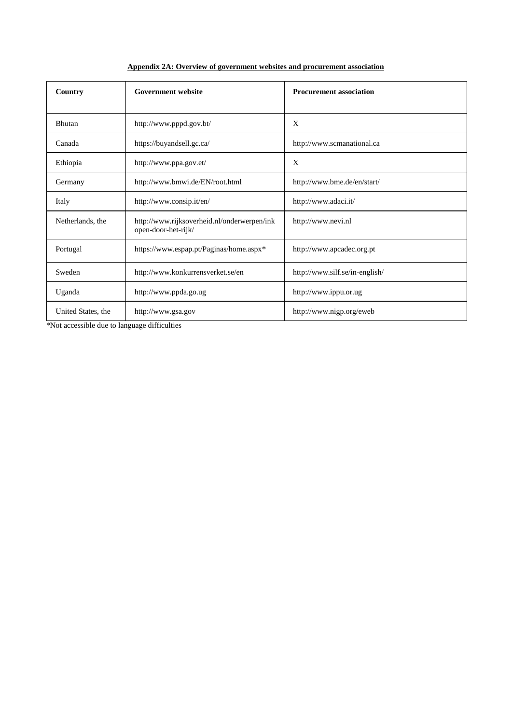| Appendix 2A: Overview of government websites and procurement association |
|--------------------------------------------------------------------------|
|--------------------------------------------------------------------------|

| Country            | <b>Government website</b>                                          | <b>Procurement association</b> |
|--------------------|--------------------------------------------------------------------|--------------------------------|
|                    |                                                                    |                                |
| <b>Bhutan</b>      | http://www.pppd.gov.bt/                                            | X                              |
| Canada             | https://buyandsell.gc.ca/                                          | http://www.scmanational.ca     |
| Ethiopia           | http://www.ppa.gov.et/                                             | X                              |
| Germany            | http://www.bmwi.de/EN/root.html                                    | http://www.bme.de/en/start/    |
| Italy              | http://www.consip.it/en/                                           | http://www.adaci.it/           |
| Netherlands, the   | http://www.rijksoverheid.nl/onderwerpen/ink<br>open-door-het-rijk/ | http://www.nevi.nl             |
| Portugal           | https://www.espap.pt/Paginas/home.aspx*                            | http://www.apcadec.org.pt      |
| Sweden             | http://www.konkurrensverket.se/en                                  | http://www.silf.se/in-english/ |
| Uganda             | http://www.ppda.go.ug                                              | http://www.ippu.or.ug          |
| United States, the | http://www.gsa.gov                                                 | http://www.nigp.org/eweb       |

\*Not accessible due to language difficulties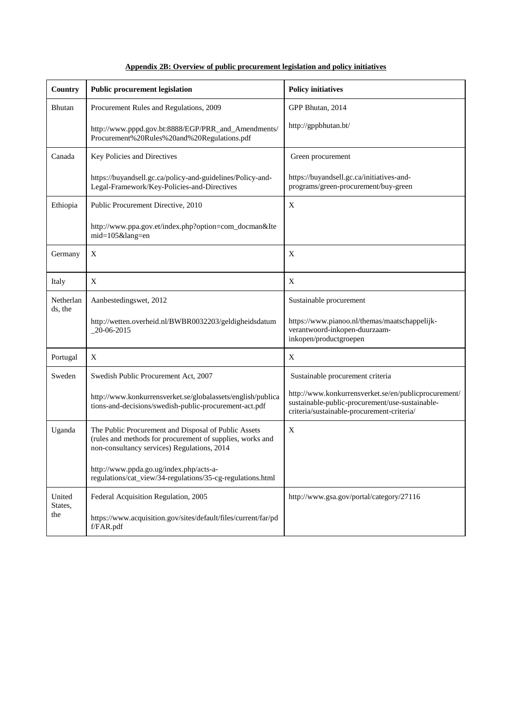| Appendix 2B: Overview of public procurement legislation and policy initiatives |  |  |  |
|--------------------------------------------------------------------------------|--|--|--|
|                                                                                |  |  |  |

| Country              | <b>Public procurement legislation</b>                                                                                                                            | <b>Policy initiatives</b>                                                                                                                             |
|----------------------|------------------------------------------------------------------------------------------------------------------------------------------------------------------|-------------------------------------------------------------------------------------------------------------------------------------------------------|
| Bhutan               | Procurement Rules and Regulations, 2009                                                                                                                          | GPP Bhutan, 2014                                                                                                                                      |
|                      | http://www.pppd.gov.bt:8888/EGP/PRR_and_Amendments/<br>Procurement%20Rules%20and%20Regulations.pdf                                                               | http://gppbhutan.bt/                                                                                                                                  |
| Canada               | Key Policies and Directives                                                                                                                                      | Green procurement                                                                                                                                     |
|                      | https://buyandsell.gc.ca/policy-and-guidelines/Policy-and-<br>Legal-Framework/Key-Policies-and-Directives                                                        | https://buyandsell.gc.ca/initiatives-and-<br>programs/green-procurement/buy-green                                                                     |
| Ethiopia             | Public Procurement Directive, 2010                                                                                                                               | X                                                                                                                                                     |
|                      | http://www.ppa.gov.et/index.php?option=com_docman&Ite<br>mid=105⟨=en                                                                                             |                                                                                                                                                       |
| Germany              | X                                                                                                                                                                | X                                                                                                                                                     |
| Italy                | X                                                                                                                                                                | X                                                                                                                                                     |
| Netherlan<br>ds, the | Aanbestedingswet, 2012                                                                                                                                           | Sustainable procurement                                                                                                                               |
|                      | http://wetten.overheid.nl/BWBR0032203/geldigheidsdatum<br>$-20 - 06 - 2015$                                                                                      | https://www.pianoo.nl/themas/maatschappelijk-<br>verantwoord-inkopen-duurzaam-<br>inkopen/productgroepen                                              |
| Portugal             | X                                                                                                                                                                | X                                                                                                                                                     |
| Sweden               | Swedish Public Procurement Act, 2007                                                                                                                             | Sustainable procurement criteria                                                                                                                      |
|                      | http://www.konkurrensverket.se/globalassets/english/publica<br>tions-and-decisions/swedish-public-procurement-act.pdf                                            | http://www.konkurrensverket.se/en/publicprocurement/<br>sustainable-public-procurement/use-sustainable-<br>criteria/sustainable-procurement-criteria/ |
| Uganda               | The Public Procurement and Disposal of Public Assets<br>(rules and methods for procurement of supplies, works and<br>non-consultancy services) Regulations, 2014 | X                                                                                                                                                     |
|                      | http://www.ppda.go.ug/index.php/acts-a-<br>regulations/cat_view/34-regulations/35-cg-regulations.html                                                            |                                                                                                                                                       |
| United<br>States,    | Federal Acquisition Regulation, 2005                                                                                                                             | http://www.gsa.gov/portal/category/27116                                                                                                              |
| the                  | https://www.acquisition.gov/sites/default/files/current/far/pd<br>f/FAR.pdf                                                                                      |                                                                                                                                                       |